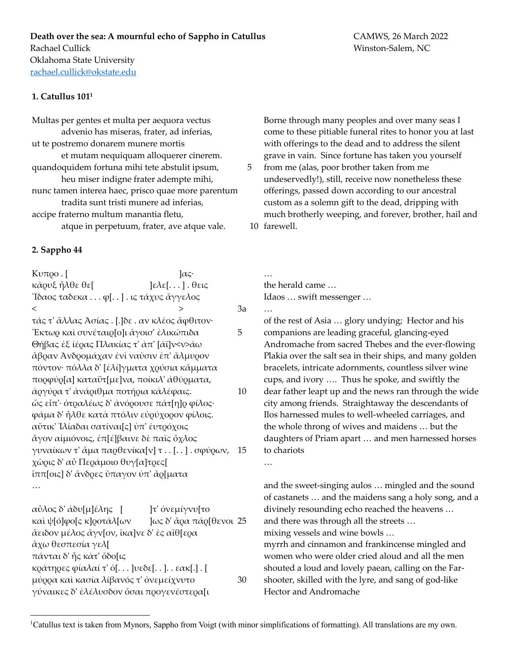## **1. Catullus 1011**

Multas per gentes et multa per aequora vectus advenio has miseras, frater, ad inferias, ut te postremo donarem munere mortis et mutam nequiquam alloquerer cinerem. quandoquidem fortuna mihi tete abstulit ipsum, 5 heu miser indigne frater adempte mihi, nunc tamen interea haec, prisco quae more parentum tradita sunt tristi munere ad inferias, accipe fraterno multum manantia fletu,

atque in perpetuum, frater, ave atque vale.

## **2. Sappho 44**

Kυπρο  $\left[$   $\alpha$ ς· κᾶρυξ ἦλθε θε[ ]ελε[. . . ] . θεις Ἴδαος ταδεκα . . . φ[. . ] . ις τάχυς ἄγγελος  $\lt$  3a τάς τ' ἄλλας Ἀσίας . [.]δε . αν κλέος ἄφθιτον· Ἔκτωρ καὶ συνέταιρ[ο]ι ἄγοισ' ἐλικώπιδα 5 Θήβας ἐξ ἰέρας Πλακίας τ' ἀπ' [ἀϊ]ν<ν>άω ἄβραν Ἀνδροµάχαν ἐνὶ ναῦσιν ἐπ' ἄλµυρον πόντον· πόλλα δ' [ἐλί]γµατα χρύσια κἄµµατα πορφύρ[α] καταΰτ[µε]να, ποίκιλ' ἀθύρµατα, ἀργύρα τ' ἀνάριθµα ποτήρια κἀλέφαις. 10 ὤς εἶπ'· ὀτραλέως δ' ἀνόρουσε πάτ[η]ρ φίλος· φάµα δ' ἦλθε κατὰ πτόλιν εὐρύχορον φίλοις. αὔτικ' Ἰλίαδαι σατίναι[ς] ὐπ' ἐυτρόχοις ἆγον αἰµιόνοις, ἐπ[έ]βαινε δὲ παῖς ὄχλος γυναίκων τ' ἄµα παρθενίκα[ν] τ . . [. . ] . σφύρων, 15 χῶρις δ' αὖ Περάµοιο θυγ[α]τρες[ ἴππ[οις] δ' ἄνδρες ὔπαγον ὐπ' ἄρ[µατα …

αὖλος δ' ἀδυ[µ]έλης [ ]τ' ὀνεµίγνυ[το καὶ ψ[ό]φο[ς κ]ροτάλ[ων ]ως δ' ἄρα πάρ[θενοι 25 ἄειδον µέλος ἄγν[ον, ἴκα]νε δ' ἐς αἴθ[ερα ἄχω θεσπεσία γελ[ πάνται δ' ἦς κὰτ' ὄδο[ις κράτηρες φίαλαί τ' ὀ[. . . ]υεδε[. . ]. . εακ[.] . [ µύρρα καὶ κασία λίβανός τ' ὀνεµείχνυτο 30 γύναικες δ' ἐλέλυσδον ὄσαι προγενέστερα[ι

Borne through many peoples and over many seas I come to these pitiable funeral rites to honor you at last with offerings to the dead and to address the silent grave in vain. Since fortune has taken you yourself from me (alas, poor brother taken from me undeservedly!), still, receive now nonetheless these offerings, passed down according to our ancestral custom as a solemn gift to the dead, dripping with much brotherly weeping, and forever, brother, hail and 10 farewell.

the herald came … Idaos … swift messenger …

…

…

… of the rest of Asia … glory undying; Hector and his companions are leading graceful, glancing-eyed Andromache from sacred Thebes and the ever-flowing Plakia over the salt sea in their ships, and many golden bracelets, intricate adornments, countless silver wine cups, and ivory …. Thus he spoke, and swiftly the dear father leapt up and the news ran through the wide city among friends. Straightaway the descendants of

Ilos harnessed mules to well-wheeled carriages, and the whole throng of wives and maidens … but the daughters of Priam apart … and men harnessed horses to chariots

and the sweet-singing aulos … mingled and the sound of castanets … and the maidens sang a holy song, and a divinely resounding echo reached the heavens … and there was through all the streets … mixing vessels and wine bowls … myrrh and cinnamon and frankincense mingled and women who were older cried aloud and all the men shouted a loud and lovely paean, calling on the Farshooter, skilled with the lyre, and sang of god-like Hector and Andromache

<sup>&</sup>lt;sup>1</sup>Catullus text is taken from Mynors, Sappho from Voigt (with minor simplifications of formatting). All translations are my own.